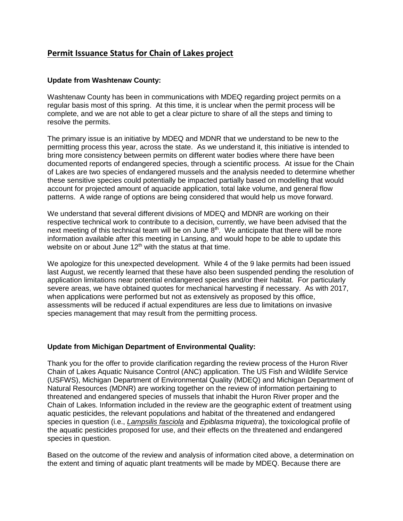## **Permit Issuance Status for Chain of Lakes project**

## **Update from Washtenaw County:**

Washtenaw County has been in communications with MDEQ regarding project permits on a regular basis most of this spring. At this time, it is unclear when the permit process will be complete, and we are not able to get a clear picture to share of all the steps and timing to resolve the permits.

The primary issue is an initiative by MDEQ and MDNR that we understand to be new to the permitting process this year, across the state. As we understand it, this initiative is intended to bring more consistency between permits on different water bodies where there have been documented reports of endangered species, through a scientific process. At issue for the Chain of Lakes are two species of endangered mussels and the analysis needed to determine whether these sensitive species could potentially be impacted partially based on modelling that would account for projected amount of aquacide application, total lake volume, and general flow patterns. A wide range of options are being considered that would help us move forward.

We understand that several different divisions of MDEQ and MDNR are working on their respective technical work to contribute to a decision, currently, we have been advised that the next meeting of this technical team will be on June  $8<sup>th</sup>$ . We anticipate that there will be more information available after this meeting in Lansing, and would hope to be able to update this website on or about June  $12<sup>th</sup>$  with the status at that time.

We apologize for this unexpected development. While 4 of the 9 lake permits had been issued last August, we recently learned that these have also been suspended pending the resolution of application limitations near potential endangered species and/or their habitat. For particularly severe areas, we have obtained quotes for mechanical harvesting if necessary. As with 2017, when applications were performed but not as extensively as proposed by this office, assessments will be reduced if actual expenditures are less due to limitations on invasive species management that may result from the permitting process.

## **Update from Michigan Department of Environmental Quality:**

Thank you for the offer to provide clarification regarding the review process of the Huron River Chain of Lakes Aquatic Nuisance Control (ANC) application. The US Fish and Wildlife Service (USFWS), Michigan Department of Environmental Quality (MDEQ) and Michigan Department of Natural Resources (MDNR) are working together on the review of information pertaining to threatened and endangered species of mussels that inhabit the Huron River proper and the Chain of Lakes. Information included in the review are the geographic extent of treatment using aquatic pesticides, the relevant populations and habitat of the threatened and endangered species in question (i.e., *Lampsilis fasciola* and *Epiblasma triquetra*), the toxicological profile of the aquatic pesticides proposed for use, and their effects on the threatened and endangered species in question.

Based on the outcome of the review and analysis of information cited above, a determination on the extent and timing of aquatic plant treatments will be made by MDEQ. Because there are